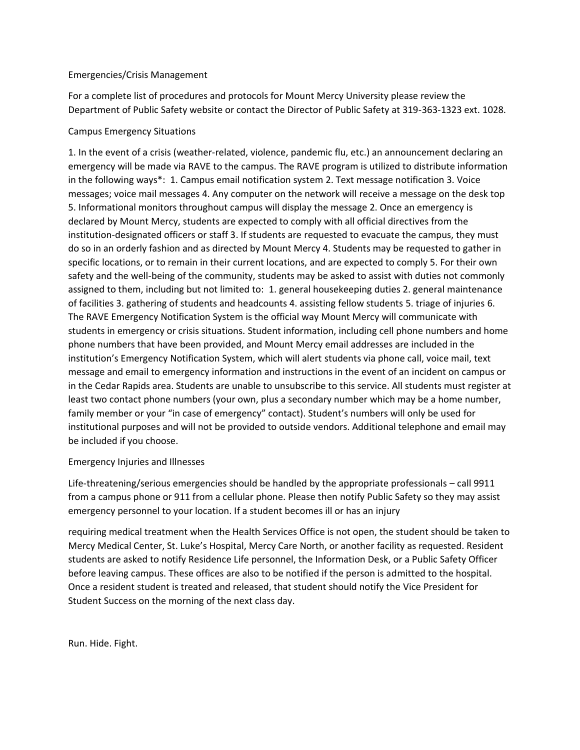## Emergencies/Crisis Management

For a complete list of procedures and protocols for Mount Mercy University please review the Department of Public Safety website or contact the Director of Public Safety at 319-363-1323 ext. 1028.

## Campus Emergency Situations

1. In the event of a crisis (weather-related, violence, pandemic flu, etc.) an announcement declaring an emergency will be made via RAVE to the campus. The RAVE program is utilized to distribute information in the following ways\*: 1. Campus email notification system 2. Text message notification 3. Voice messages; voice mail messages 4. Any computer on the network will receive a message on the desk top 5. Informational monitors throughout campus will display the message 2. Once an emergency is declared by Mount Mercy, students are expected to comply with all official directives from the institution-designated officers or staff 3. If students are requested to evacuate the campus, they must do so in an orderly fashion and as directed by Mount Mercy 4. Students may be requested to gather in specific locations, or to remain in their current locations, and are expected to comply 5. For their own safety and the well-being of the community, students may be asked to assist with duties not commonly assigned to them, including but not limited to: 1. general housekeeping duties 2. general maintenance of facilities 3. gathering of students and headcounts 4. assisting fellow students 5. triage of injuries 6. The RAVE Emergency Notification System is the official way Mount Mercy will communicate with students in emergency or crisis situations. Student information, including cell phone numbers and home phone numbers that have been provided, and Mount Mercy email addresses are included in the institution's Emergency Notification System, which will alert students via phone call, voice mail, text message and email to emergency information and instructions in the event of an incident on campus or in the Cedar Rapids area. Students are unable to unsubscribe to this service. All students must register at least two contact phone numbers (your own, plus a secondary number which may be a home number, family member or your "in case of emergency" contact). Student's numbers will only be used for institutional purposes and will not be provided to outside vendors. Additional telephone and email may be included if you choose.

## Emergency Injuries and Illnesses

Life-threatening/serious emergencies should be handled by the appropriate professionals – call 9911 from a campus phone or 911 from a cellular phone. Please then notify Public Safety so they may assist emergency personnel to your location. If a student becomes ill or has an injury

requiring medical treatment when the Health Services Office is not open, the student should be taken to Mercy Medical Center, St. Luke's Hospital, Mercy Care North, or another facility as requested. Resident students are asked to notify Residence Life personnel, the Information Desk, or a Public Safety Officer before leaving campus. These offices are also to be notified if the person is admitted to the hospital. Once a resident student is treated and released, that student should notify the Vice President for Student Success on the morning of the next class day.

Run. Hide. Fight.